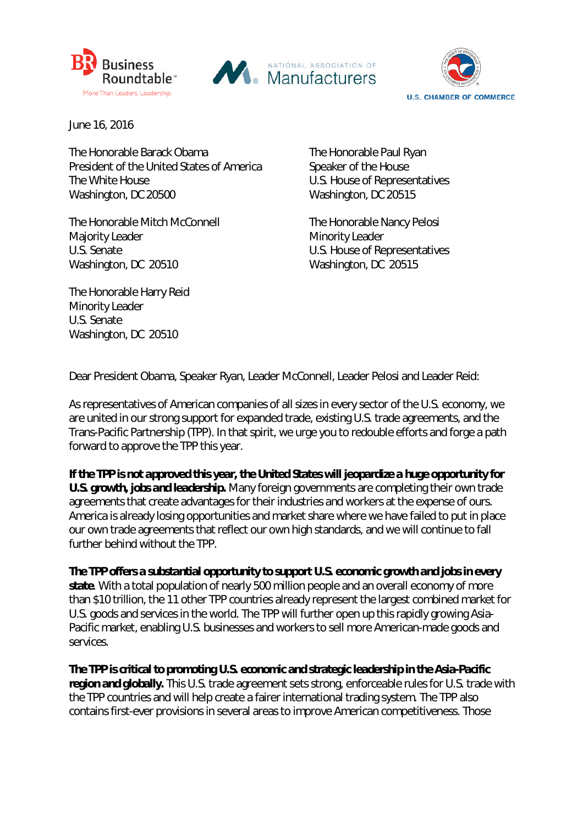





June 16, 2016

The Honorable Barack Obama<br>
The Honorable Paul Ryan President of the United States of America Speaker of the House The White House **The White House** CONSETENCE U.S. House of Representatives Washington, DC 20500 Washington, DC 20515

The Honorable Mitch McConnell The Honorable Nancy Pelosi Majority Leader Minority Leader U.S. Senate U.S. House of Representatives Washington, DC 20510 Washington, DC 20515

The Honorable Harry Reid Minority Leader U.S. Senate Washington, DC 20510

Dear President Obama, Speaker Ryan, Leader McConnell, Leader Pelosi and Leader Reid:

As representatives of American companies of all sizes in every sector of the U.S. economy, we are united in our strong support for expanded trade, existing U.S. trade agreements, and the Trans-Pacific Partnership (TPP). In that spirit, we urge you to redouble efforts and forge a path forward to approve the TPP this year.

*If the TPP is not approved this year, the United States will jeopardize a huge opportunity for U.S. growth, jobs and leadership***.** Many foreign governments are completing their own trade agreements that create advantages for their industries and workers at the expense of ours. America is already losing opportunities and market share where we have failed to put in place our own trade agreements that reflect our own high standards, and we will continue to fall further behind without the TPP.

*The TPP offers a substantial opportunity to support U.S. economic growth and jobs in every state*. With a total population of nearly 500 million people and an overall economy of more than \$10 trillion, the 11 other TPP countries already represent the largest combined market for U.S. goods and services in the world. The TPP will further open up this rapidly growing Asia-Pacific market, enabling U.S. businesses and workers to sell more American-made goods and services.

*The TPP is critical to promoting U.S. economic and strategic leadership in the Asia-Pacific region and globally.* This U.S. trade agreement sets strong, enforceable rules for U.S. trade with the TPP countries and will help create a fairer international trading system. The TPP also contains first-ever provisions in several areas to improve American competitiveness. Those